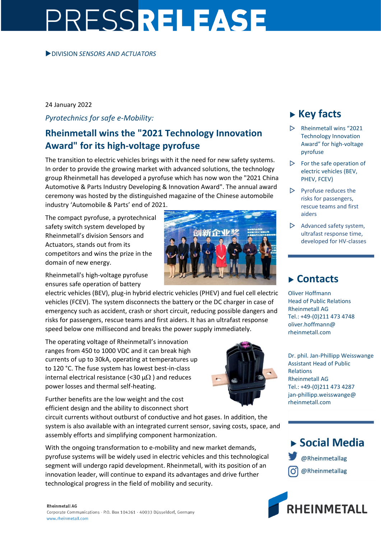# PRESSRELEASE

### DIVISION *SENSORS AND ACTUATORS*

### 24 January 2022

*Pyrotechnics for safe e-Mobility:*

## **Rheinmetall wins the "2021 Technology Innovation Award" for its high-voltage pyrofuse**

The transition to electric vehicles brings with it the need for new safety systems. In order to provide the growing market with advanced solutions, the technology group Rheinmetall has developed a pyrofuse which has now won the "2021 China Automotive & Parts Industry Developing & Innovation Award". The annual award ceremony was hosted by the distinguished magazine of the Chinese automobile industry 'Automobile & Parts' end of 2021.

The compact pyrofuse, a pyrotechnical safety switch system developed by Rheinmetall's division Sensors and Actuators, stands out from its competitors and wins the prize in the domain of new energy.

Rheinmetall's high-voltage pyrofuse ensures safe operation of battery

electric vehicles (BEV), plug-in hybrid electric vehicles (PHEV) and fuel cell electric vehicles (FCEV). The system disconnects the battery or the DC charger in case of emergency such as accident, crash or short circuit, reducing possible dangers and risks for passengers, rescue teams and first aiders. It has an ultrafast response speed below one millisecond and breaks the power supply immediately.

The operating voltage of Rheinmetall's innovation ranges from 450 to 1000 VDC and it can break high currents of up to 30kA, operating at temperatures up to 120 °C. The fuse system has lowest best-in-class internal electrical resistance (<30  $\mu\Omega$ ) and reduces power losses and thermal self-heating.

Further benefits are the low weight and the cost efficient design and the ability to disconnect short

circuit currents without outburst of conductive and hot gases. In addition, the system is also available with an integrated current sensor, saving costs, space, and assembly efforts and simplifying component harmonization.

With the ongoing transformation to e-mobility and new market demands, pyrofuse systems will be widely used in electric vehicles and this technological segment will undergo rapid development. Rheinmetall, with its position of an innovation leader, will continue to expand its advantages and drive further technological progress in the field of mobility and security.

#### **Rheinmetall AG**





## **Key facts**

- $\triangleright$  Rheinmetall wins "2021 Technology Innovation Award" for high-voltage pyrofuse
- $\triangleright$  For the safe operation of electric vehicles (BEV, PHEV, FCEV)
- $\triangleright$  Pyrofuse reduces the risks for passengers, rescue teams and first aiders
- $\triangleright$  Advanced safety system, ultrafast response time, developed for HV-classes

## **Contacts**

Oliver Hoffmann Head of Public Relations Rheinmetall AG Tel.: +49-(0)211 473 4748 oliver.hoffmann@ rheinmetall.com

Dr. phil. Jan-Phillipp Weisswange Assistant Head of Public Relations Rheinmetall AG Tel.: +49-(0)211 473 4287 jan-phillipp.weisswange@ rheinmetall.com



@Rheinmetallag

@Rheinmetallag